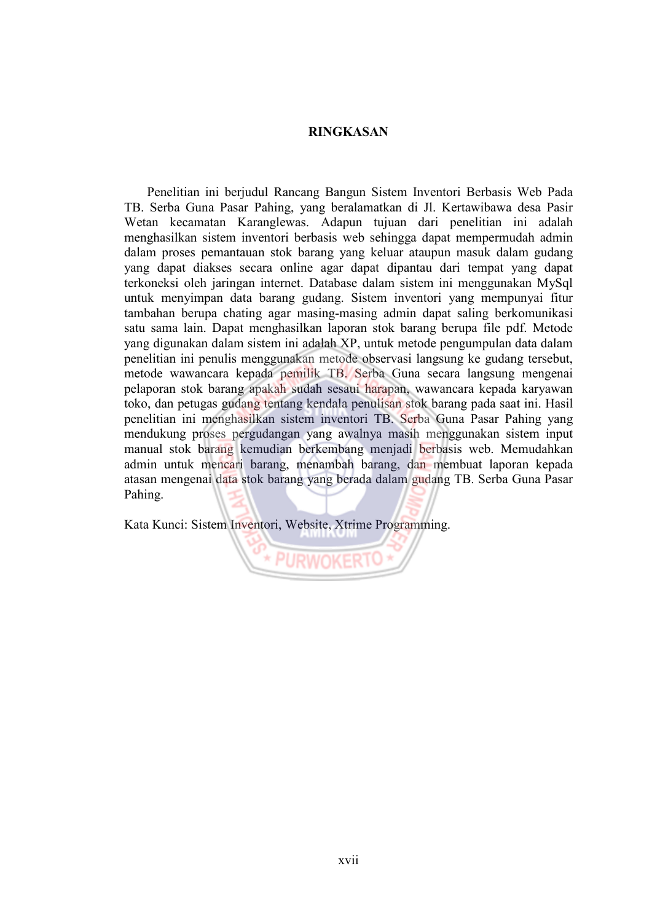## **RINGKASAN**

Penelitian ini berjudul Rancang Bangun Sistem Inventori Berbasis Web Pada TB. Serba Guna Pasar Pahing, yang beralamatkan di Jl. Kertawibawa desa Pasir Wetan kecamatan Karanglewas. Adapun tujuan dari penelitian ini adalah menghasilkan sistem inventori berbasis web sehingga dapat mempermudah admin dalam proses pemantauan stok barang yang keluar ataupun masuk dalam gudang yang dapat diakses secara online agar dapat dipantau dari tempat yang dapat terkoneksi oleh jaringan internet. Database dalam sistem ini menggunakan MySql untuk menyimpan data barang gudang. Sistem inventori yang mempunyai fitur tambahan berupa chating agar masing-masing admin dapat saling berkomunikasi satu sama lain. Dapat menghasilkan laporan stok barang berupa file pdf. Metode yang digunakan dalam sistem ini adalah XP, untuk metode pengumpulan data dalam penelitian ini penulis menggunakan metode observasi langsung ke gudang tersebut, metode wawancara kepada pemilik TB. Serba Guna secara langsung mengenai pelaporan stok barang apakah sudah sesaui harapan, wawancara kepada karyawan toko, dan petugas gudang tentang kendala penulisan stok barang pada saat ini. Hasil penelitian ini menghasilkan sistem inventori TB. Serba Guna Pasar Pahing yang mendukung proses pergudangan yang awalnya masih menggunakan sistem input manual stok barang kemudian berkembang menjadi berbasis web. Memudahkan admin untuk mencari barang, menambah barang, dan membuat laporan kepada atasan mengenai data stok barang yang berada dalam gudang TB. Serba Guna Pasar Pahing.

Kata Kunci: Sistem Inventori, Website, Xtrime Programming.